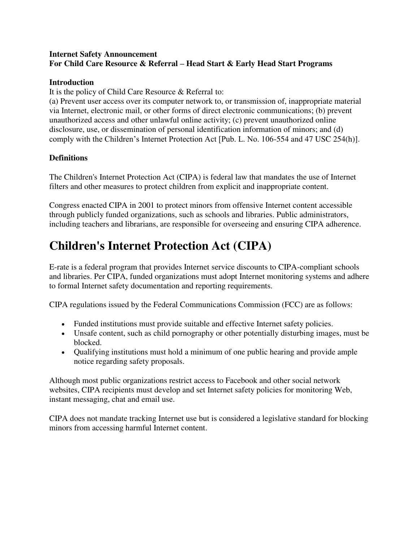## **Internet Safety Announcement For Child Care Resource & Referral – Head Start & Early Head Start Programs**

### **Introduction**

It is the policy of Child Care Resource & Referral to:

(a) Prevent user access over its computer network to, or transmission of, inappropriate material via Internet, electronic mail, or other forms of direct electronic communications; (b) prevent unauthorized access and other unlawful online activity; (c) prevent unauthorized online disclosure, use, or dissemination of personal identification information of minors; and (d) comply with the Children's Internet Protection Act [Pub. L. No. 106-554 and 47 USC 254(h)].

## **Definitions**

The Children's Internet Protection Act (CIPA) is federal law that mandates the use of Internet filters and other measures to protect children from explicit and inappropriate content.

Congress enacted CIPA in 2001 to protect minors from offensive Internet content accessible through publicly funded organizations, such as schools and libraries. Public administrators, including teachers and librarians, are responsible for overseeing and ensuring CIPA adherence.

# **Children's Internet Protection Act (CIPA)**

E-rate is a federal program that provides Internet service discounts to CIPA-compliant schools and libraries. Per CIPA, funded organizations must adopt Internet monitoring systems and adhere to formal Internet safety documentation and reporting requirements.

CIPA regulations issued by the Federal Communications Commission (FCC) are as follows:

- Funded institutions must provide suitable and effective Internet safety policies.
- Unsafe content, such as child pornography or other potentially disturbing images, must be blocked.
- Qualifying institutions must hold a minimum of one public hearing and provide ample notice regarding safety proposals.

Although most public organizations restrict access to Facebook and other social network websites, CIPA recipients must develop and set Internet safety policies for monitoring Web, instant messaging, chat and email use.

CIPA does not mandate tracking Internet use but is considered a legislative standard for blocking minors from accessing harmful Internet content.